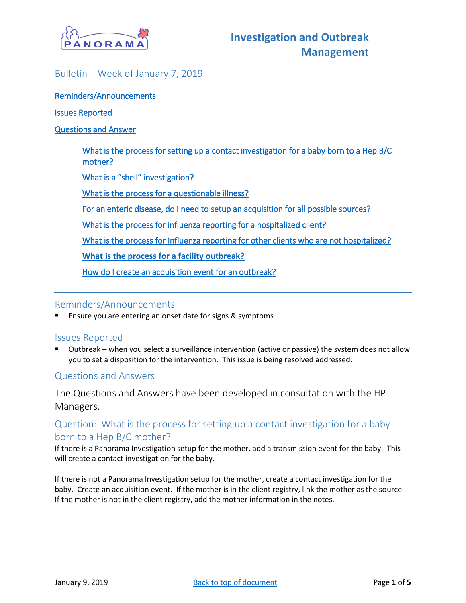

## <span id="page-0-0"></span>Bulletin – Week of January 7, 2019

[Reminders/Announcements](#page-0-0) 

#### [Issues Reported](#page-0-1)

#### [Questions and Answer](#page-0-2)

[What is the process for setting up a contact investigation for a baby born to a Hep B/C](#page-0-3)  [mother?](#page-0-3)

[What is a "shell" investigation?](#page-0-4)

[What is the process for a questionable illness?](#page-1-0) 

[For an enteric disease, do I need to setup an acquisition for all possible sources?](#page-1-1) 

[What is the process for influenza reporting for a hospitalized client?](#page-1-2)

[What is the process for Influenza reporting for other clients who are not hospitalized?](#page-2-0) 

**[What is the process for a facility outbreak?](#page-3-0)**

[How do I create an acquisition event for an outbreak?](#page-3-1)

### Reminders/Announcements

Ensure you are entering an onset date for signs & symptoms

### <span id="page-0-1"></span>Issues Reported

▪ Outbreak – when you select a surveillance intervention (active or passive) the system does not allow you to set a disposition for the intervention. This issue is being resolved addressed.

## <span id="page-0-2"></span>Questions and Answers

The Questions and Answers have been developed in consultation with the HP Managers.

# <span id="page-0-3"></span>Question: What is the process for setting up a contact investigation for a baby born to a Hep B/C mother?

If there is a Panorama Investigation setup for the mother, add a transmission event for the baby. This will create a contact investigation for the baby.

<span id="page-0-4"></span>If there is not a Panorama Investigation setup for the mother, create a contact investigation for the baby. Create an acquisition event. If the mother is in the client registry, link the mother as the source. If the mother is not in the client registry, add the mother information in the notes.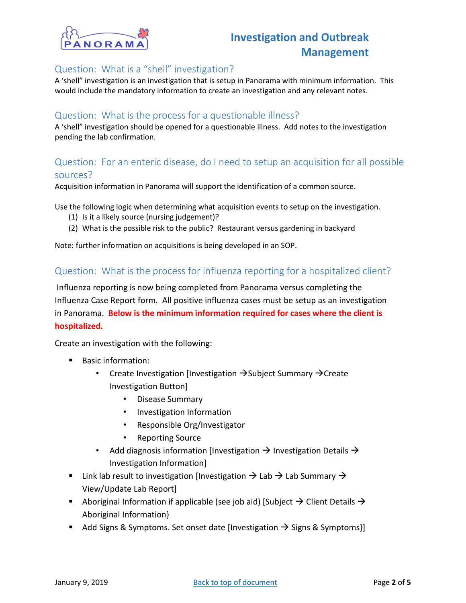

## Question: What is a "shell" investigation?

A 'shell" investigation is an investigation that is setup in Panorama with minimum information. This would include the mandatory information to create an investigation and any relevant notes.

### <span id="page-1-0"></span>Question: What is the process for a questionable illness?

A 'shell" investigation should be opened for a questionable illness. Add notes to the investigation pending the lab confirmation.

## <span id="page-1-1"></span>Question: For an enteric disease, do I need to setup an acquisition for all possible sources?

Acquisition information in Panorama will support the identification of a common source.

Use the following logic when determining what acquisition events to setup on the investigation.

- (1) Is it a likely source (nursing judgement)?
- (2) What is the possible risk to the public? Restaurant versus gardening in backyard

Note: further information on acquisitions is being developed in an SOP.

## <span id="page-1-2"></span>Question: What is the process for influenza reporting for a hospitalized client?

Influenza reporting is now being completed from Panorama versus completing the Influenza Case Report form. All positive influenza cases must be setup as an investigation in Panorama. **Below is the minimum information required for cases where the client is hospitalized.**

Create an investigation with the following:

- Basic information:
	- Create Investigation [Investigation →Subject Summary →Create Investigation Button]
		- Disease Summary
		- Investigation Information
		- Responsible Org/Investigator
		- Reporting Source
	- Add diagnosis information [Investigation  $\rightarrow$  Investigation Details  $\rightarrow$ Investigation Information]
- Link lab result to investigation [Investigation  $\rightarrow$  Lab  $\rightarrow$  Lab Summary  $\rightarrow$ View/Update Lab Report]
- Aboriginal Information if applicable (see job aid) [Subject  $\rightarrow$  Client Details  $\rightarrow$ Aboriginal Information}
- Add Signs & Symptoms. Set onset date [Investigation  $\rightarrow$  Signs & Symptoms}]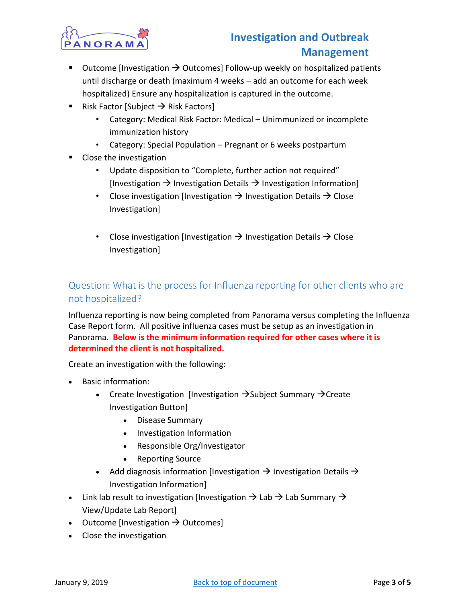

# **Investigation and Outbreak Management**

- Outcome [Investigation  $\rightarrow$  Outcomes] Follow-up weekly on hospitalized patients until discharge or death (maximum 4 weeks – add an outcome for each week hospitalized) Ensure any hospitalization is captured in the outcome.
- Risk Factor [Subject  $\rightarrow$  Risk Factors]
	- Category: Medical Risk Factor: Medical Unimmunized or incomplete immunization history
	- Category: Special Population Pregnant or 6 weeks postpartum
- Close the investigation
	- Update disposition to "Complete, further action not required" [Investigation  $\rightarrow$  Investigation Details  $\rightarrow$  Investigation Information]
	- Close investigation [Investigation  $\rightarrow$  Investigation Details  $\rightarrow$  Close Investigation]
	- Close investigation [Investigation  $\rightarrow$  Investigation Details  $\rightarrow$  Close Investigation]

# <span id="page-2-0"></span>Question: What is the process for Influenza reporting for other clients who are not hospitalized?

Influenza reporting is now being completed from Panorama versus completing the Influenza Case Report form. All positive influenza cases must be setup as an investigation in Panorama. **Below is the minimum information required for other cases where it is determined the client is not hospitalized.**

Create an investigation with the following:

- Basic information:
	- Create Investigation [Investigation →Subject Summary →Create Investigation Button]
		- Disease Summary
		- Investigation Information
		- Responsible Org/Investigator
		- Reporting Source
	- Add diagnosis information [Investigation  $\rightarrow$  Investigation Details  $\rightarrow$ Investigation Information]
- Link lab result to investigation [Investigation  $\rightarrow$  Lab  $\rightarrow$  Lab Summary  $\rightarrow$ View/Update Lab Report]
- Outcome [Investigation  $\rightarrow$  Outcomes]
- Close the investigation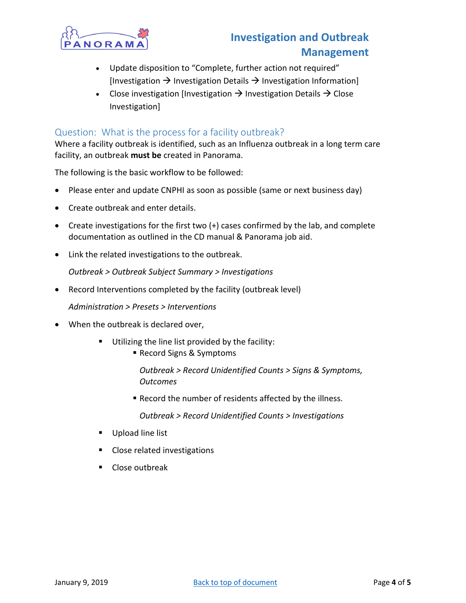

# **Investigation and Outbreak Management**

- Update disposition to "Complete, further action not required" [Investigation  $\rightarrow$  Investigation Details  $\rightarrow$  Investigation Information]
- Close investigation [Investigation  $\rightarrow$  Investigation Details  $\rightarrow$  Close Investigation]

## <span id="page-3-0"></span>Question: What is the process for a facility outbreak?

Where a facility outbreak is identified, such as an Influenza outbreak in a long term care facility, an outbreak **must be** created in Panorama.

The following is the basic workflow to be followed:

- Please enter and update CNPHI as soon as possible (same or next business day)
- Create outbreak and enter details.
- Create investigations for the first two (+) cases confirmed by the lab, and complete documentation as outlined in the CD manual & Panorama job aid.
- Link the related investigations to the outbreak.

*Outbreak > Outbreak Subject Summary > Investigations*

• Record Interventions completed by the facility (outbreak level)

*Administration > Presets > Interventions*

- When the outbreak is declared over,
	- Utilizing the line list provided by the facility:
		- Record Signs & Symptoms

*Outbreak > Record Unidentified Counts > Signs & Symptoms, Outcomes*

■ Record the number of residents affected by the illness.

*Outbreak > Record Unidentified Counts > Investigations*

- Upload line list
- Close related investigations
- <span id="page-3-1"></span>■ Close outbreak